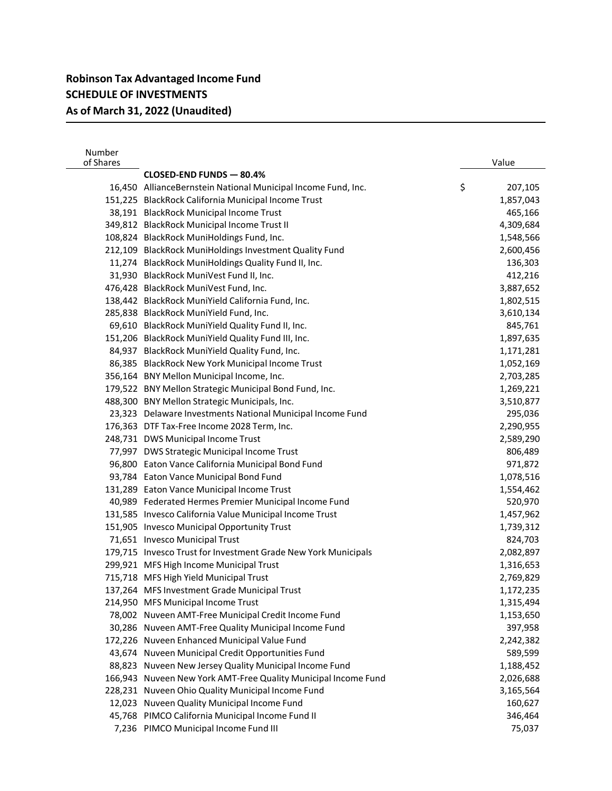| Number<br>of Shares |                                                                | Value         |
|---------------------|----------------------------------------------------------------|---------------|
|                     | CLOSED-END FUNDS - 80.4%                                       |               |
|                     | 16,450 AllianceBernstein National Municipal Income Fund, Inc.  | \$<br>207,105 |
|                     | 151,225 BlackRock California Municipal Income Trust            | 1,857,043     |
|                     | 38,191 BlackRock Municipal Income Trust                        | 465,166       |
|                     | 349,812 BlackRock Municipal Income Trust II                    | 4,309,684     |
|                     | 108,824 BlackRock MuniHoldings Fund, Inc.                      | 1,548,566     |
|                     | 212,109 BlackRock MuniHoldings Investment Quality Fund         | 2,600,456     |
|                     | 11,274 BlackRock MuniHoldings Quality Fund II, Inc.            | 136,303       |
|                     | 31,930 BlackRock MuniVest Fund II, Inc.                        | 412,216       |
|                     | 476,428 BlackRock MuniVest Fund, Inc.                          | 3,887,652     |
|                     | 138,442 BlackRock MuniYield California Fund, Inc.              | 1,802,515     |
|                     | 285,838 BlackRock MuniYield Fund, Inc.                         | 3,610,134     |
|                     | 69,610 BlackRock MuniYield Quality Fund II, Inc.               | 845,761       |
|                     | 151,206 BlackRock MuniYield Quality Fund III, Inc.             | 1,897,635     |
|                     | 84,937 BlackRock MuniYield Quality Fund, Inc.                  | 1,171,281     |
|                     | 86,385 BlackRock New York Municipal Income Trust               | 1,052,169     |
|                     | 356,164 BNY Mellon Municipal Income, Inc.                      | 2,703,285     |
|                     | 179,522 BNY Mellon Strategic Municipal Bond Fund, Inc.         | 1,269,221     |
|                     | 488,300 BNY Mellon Strategic Municipals, Inc.                  | 3,510,877     |
|                     | 23,323 Delaware Investments National Municipal Income Fund     | 295,036       |
|                     | 176,363 DTF Tax-Free Income 2028 Term, Inc.                    | 2,290,955     |
|                     | 248,731 DWS Municipal Income Trust                             | 2,589,290     |
|                     | 77,997 DWS Strategic Municipal Income Trust                    | 806,489       |
|                     | 96,800 Eaton Vance California Municipal Bond Fund              | 971,872       |
|                     | 93,784 Eaton Vance Municipal Bond Fund                         | 1,078,516     |
|                     | 131,289 Eaton Vance Municipal Income Trust                     | 1,554,462     |
|                     | 40,989 Federated Hermes Premier Municipal Income Fund          | 520,970       |
|                     | 131,585 Invesco California Value Municipal Income Trust        | 1,457,962     |
|                     | 151,905 Invesco Municipal Opportunity Trust                    | 1,739,312     |
|                     | 71,651 Invesco Municipal Trust                                 | 824,703       |
|                     | 179,715 Invesco Trust for Investment Grade New York Municipals | 2,082,897     |
|                     | 299,921 MFS High Income Municipal Trust                        | 1,316,653     |
|                     | 715,718 MFS High Yield Municipal Trust                         | 2,769,829     |
|                     | 137,264 MFS Investment Grade Municipal Trust                   | 1,172,235     |
|                     | 214,950 MFS Municipal Income Trust                             | 1,315,494     |
|                     | 78,002 Nuveen AMT-Free Municipal Credit Income Fund            | 1,153,650     |
|                     | 30,286 Nuveen AMT-Free Quality Municipal Income Fund           | 397,958       |
|                     | 172,226 Nuveen Enhanced Municipal Value Fund                   | 2,242,382     |
|                     | 43,674 Nuveen Municipal Credit Opportunities Fund              | 589,599       |
|                     | 88,823 Nuveen New Jersey Quality Municipal Income Fund         | 1,188,452     |
|                     | 166,943 Nuveen New York AMT-Free Quality Municipal Income Fund | 2,026,688     |
|                     | 228,231 Nuveen Ohio Quality Municipal Income Fund              | 3,165,564     |
|                     | 12,023 Nuveen Quality Municipal Income Fund                    | 160,627       |
|                     | 45,768 PIMCO California Municipal Income Fund II               | 346,464       |
|                     | 7,236 PIMCO Municipal Income Fund III                          | 75,037        |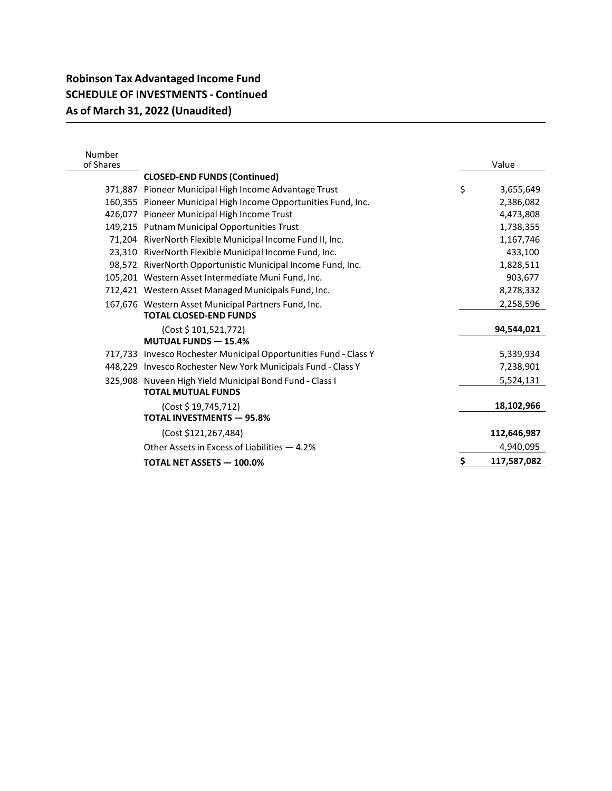## **Robinson Tax Advantaged Income Fund SCHEDULE OF INVESTMENTS - Continued As of March 31, 2022 (Unaudited)**

| Number<br>of Shares |                                                                  |           | Value       |  |
|---------------------|------------------------------------------------------------------|-----------|-------------|--|
|                     | <b>CLOSED-END FUNDS (Continued)</b>                              |           |             |  |
|                     | 371,887 Pioneer Municipal High Income Advantage Trust            | \$        | 3,655,649   |  |
|                     | 160,355 Pioneer Municipal High Income Opportunities Fund, Inc.   |           | 2,386,082   |  |
|                     | 426,077 Pioneer Municipal High Income Trust                      |           | 4,473,808   |  |
|                     | 149,215 Putnam Municipal Opportunities Trust                     | 1,738,355 |             |  |
|                     | 71,204 RiverNorth Flexible Municipal Income Fund II, Inc.        |           |             |  |
|                     | 23,310 RiverNorth Flexible Municipal Income Fund, Inc.           |           | 433,100     |  |
|                     | 98,572 RiverNorth Opportunistic Municipal Income Fund, Inc.      |           |             |  |
|                     | 105,201 Western Asset Intermediate Muni Fund, Inc.               |           | 903,677     |  |
|                     | 712,421 Western Asset Managed Municipals Fund, Inc.              |           | 8,278,332   |  |
|                     | 167,676 Western Asset Municipal Partners Fund, Inc.              |           | 2,258,596   |  |
|                     | <b>TOTAL CLOSED-END FUNDS</b>                                    |           |             |  |
|                     | (Cost \$101,521,772)                                             |           | 94,544,021  |  |
|                     | <b>MUTUAL FUNDS - 15.4%</b>                                      |           |             |  |
|                     | 717,733 Invesco Rochester Municipal Opportunities Fund - Class Y |           | 5,339,934   |  |
|                     | 448,229 Invesco Rochester New York Municipals Fund - Class Y     |           | 7,238,901   |  |
|                     | 325,908 Nuveen High Yield Municipal Bond Fund - Class I          |           | 5,524,131   |  |
|                     | <b>TOTAL MUTUAL FUNDS</b>                                        |           |             |  |
|                     | (Cost \$19,745,712)                                              |           | 18,102,966  |  |
|                     | <b>TOTAL INVESTMENTS - 95.8%</b>                                 |           |             |  |
|                     | (Cost \$121,267,484)                                             |           | 112,646,987 |  |
|                     | Other Assets in Excess of Liabilities - 4.2%                     |           | 4,940,095   |  |
|                     | <b>TOTAL NET ASSETS - 100.0%</b>                                 | \$        | 117,587,082 |  |